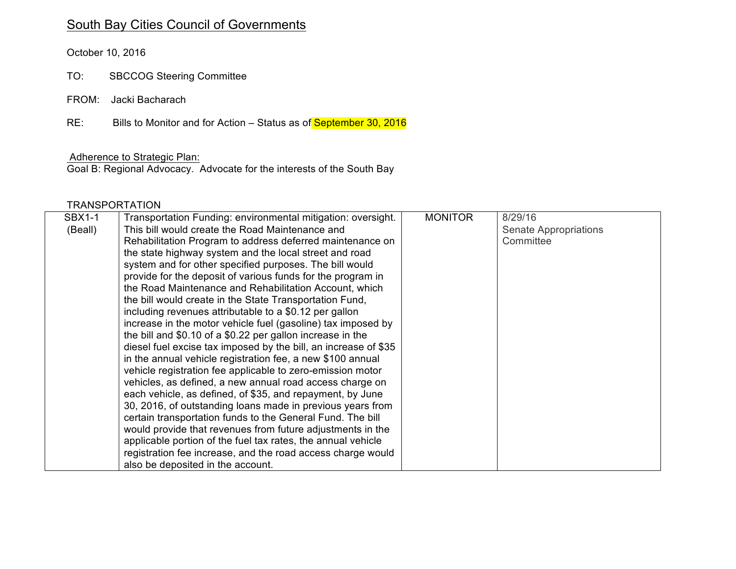## South Bay Cities Council of Governments

October 10, 2016

- TO: SBCCOG Steering Committee
- FROM: Jacki Bacharach

RE: Bills to Monitor and for Action – Status as of September 30, 2016

## Adherence to Strategic Plan:

Goal B: Regional Advocacy. Advocate for the interests of the South Bay

## **TRANSPORTATION**

| <b>SBX1-1</b> | Transportation Funding: environmental mitigation: oversight.    | <b>MONITOR</b> | 8/29/16               |
|---------------|-----------------------------------------------------------------|----------------|-----------------------|
| (Beall)       | This bill would create the Road Maintenance and                 |                | Senate Appropriations |
|               | Rehabilitation Program to address deferred maintenance on       |                | Committee             |
|               | the state highway system and the local street and road          |                |                       |
|               | system and for other specified purposes. The bill would         |                |                       |
|               | provide for the deposit of various funds for the program in     |                |                       |
|               | the Road Maintenance and Rehabilitation Account, which          |                |                       |
|               | the bill would create in the State Transportation Fund,         |                |                       |
|               | including revenues attributable to a \$0.12 per gallon          |                |                       |
|               | increase in the motor vehicle fuel (gasoline) tax imposed by    |                |                       |
|               | the bill and \$0.10 of a \$0.22 per gallon increase in the      |                |                       |
|               | diesel fuel excise tax imposed by the bill, an increase of \$35 |                |                       |
|               | in the annual vehicle registration fee, a new \$100 annual      |                |                       |
|               | vehicle registration fee applicable to zero-emission motor      |                |                       |
|               | vehicles, as defined, a new annual road access charge on        |                |                       |
|               | each vehicle, as defined, of \$35, and repayment, by June       |                |                       |
|               | 30, 2016, of outstanding loans made in previous years from      |                |                       |
|               | certain transportation funds to the General Fund. The bill      |                |                       |
|               | would provide that revenues from future adjustments in the      |                |                       |
|               | applicable portion of the fuel tax rates, the annual vehicle    |                |                       |
|               | registration fee increase, and the road access charge would     |                |                       |
|               | also be deposited in the account.                               |                |                       |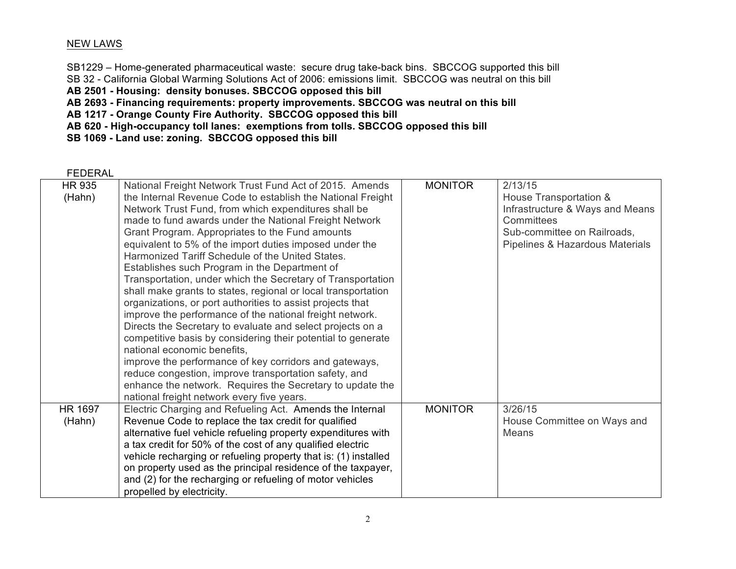## NEW LAWS

SB1229 – Home-generated pharmaceutical waste: secure drug take-back bins. SBCCOG supported this bill SB 32 - California Global Warming Solutions Act of 2006: emissions limit. SBCCOG was neutral on this bill **AB 2501 - Housing: density bonuses. SBCCOG opposed this bill AB 2693 - Financing requirements: property improvements. SBCCOG was neutral on this bill AB 1217 - Orange County Fire Authority. SBCCOG opposed this bill**

**AB 620 - High-occupancy toll lanes: exemptions from tolls. SBCCOG opposed this bill**

**SB 1069 - Land use: zoning. SBCCOG opposed this bill**

FEDERAL

| <b>HR 935</b>  | National Freight Network Trust Fund Act of 2015. Amends         | <b>MONITOR</b> | 2/13/15                         |
|----------------|-----------------------------------------------------------------|----------------|---------------------------------|
| (Hahn)         | the Internal Revenue Code to establish the National Freight     |                | House Transportation &          |
|                | Network Trust Fund, from which expenditures shall be            |                | Infrastructure & Ways and Means |
|                | made to fund awards under the National Freight Network          |                | Committees                      |
|                | Grant Program. Appropriates to the Fund amounts                 |                | Sub-committee on Railroads,     |
|                | equivalent to 5% of the import duties imposed under the         |                | Pipelines & Hazardous Materials |
|                | Harmonized Tariff Schedule of the United States.                |                |                                 |
|                | Establishes such Program in the Department of                   |                |                                 |
|                | Transportation, under which the Secretary of Transportation     |                |                                 |
|                | shall make grants to states, regional or local transportation   |                |                                 |
|                | organizations, or port authorities to assist projects that      |                |                                 |
|                | improve the performance of the national freight network.        |                |                                 |
|                | Directs the Secretary to evaluate and select projects on a      |                |                                 |
|                | competitive basis by considering their potential to generate    |                |                                 |
|                | national economic benefits,                                     |                |                                 |
|                | improve the performance of key corridors and gateways,          |                |                                 |
|                | reduce congestion, improve transportation safety, and           |                |                                 |
|                | enhance the network. Requires the Secretary to update the       |                |                                 |
|                | national freight network every five years.                      |                |                                 |
| <b>HR 1697</b> | Electric Charging and Refueling Act. Amends the Internal        | <b>MONITOR</b> | 3/26/15                         |
| (Hahn)         | Revenue Code to replace the tax credit for qualified            |                | House Committee on Ways and     |
|                | alternative fuel vehicle refueling property expenditures with   |                | Means                           |
|                | a tax credit for 50% of the cost of any qualified electric      |                |                                 |
|                | vehicle recharging or refueling property that is: (1) installed |                |                                 |
|                | on property used as the principal residence of the taxpayer,    |                |                                 |
|                | and (2) for the recharging or refueling of motor vehicles       |                |                                 |
|                | propelled by electricity.                                       |                |                                 |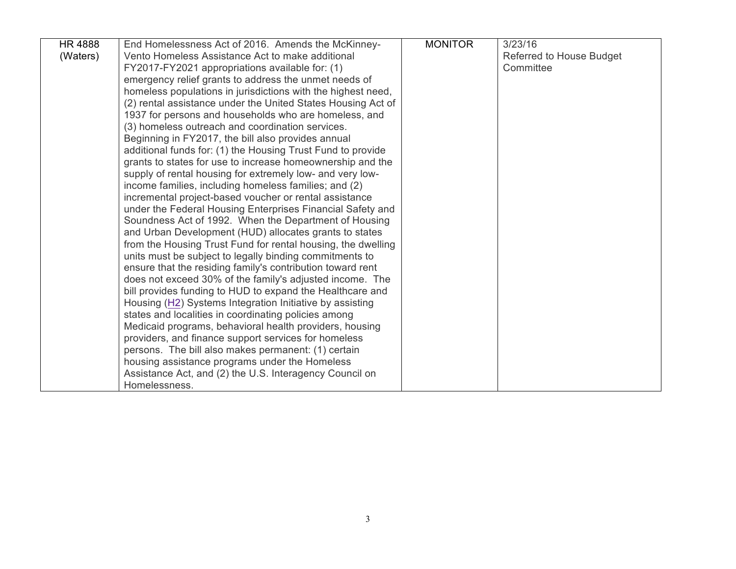| <b>HR4888</b> | End Homelessness Act of 2016. Amends the McKinney-           | <b>MONITOR</b> | 3/23/16                  |
|---------------|--------------------------------------------------------------|----------------|--------------------------|
| (Waters)      | Vento Homeless Assistance Act to make additional             |                | Referred to House Budget |
|               | FY2017-FY2021 appropriations available for: (1)              |                | Committee                |
|               | emergency relief grants to address the unmet needs of        |                |                          |
|               | homeless populations in jurisdictions with the highest need, |                |                          |
|               | (2) rental assistance under the United States Housing Act of |                |                          |
|               | 1937 for persons and households who are homeless, and        |                |                          |
|               | (3) homeless outreach and coordination services.             |                |                          |
|               | Beginning in FY2017, the bill also provides annual           |                |                          |
|               | additional funds for: (1) the Housing Trust Fund to provide  |                |                          |
|               | grants to states for use to increase homeownership and the   |                |                          |
|               | supply of rental housing for extremely low- and very low-    |                |                          |
|               | income families, including homeless families; and (2)        |                |                          |
|               | incremental project-based voucher or rental assistance       |                |                          |
|               | under the Federal Housing Enterprises Financial Safety and   |                |                          |
|               | Soundness Act of 1992. When the Department of Housing        |                |                          |
|               | and Urban Development (HUD) allocates grants to states       |                |                          |
|               | from the Housing Trust Fund for rental housing, the dwelling |                |                          |
|               | units must be subject to legally binding commitments to      |                |                          |
|               | ensure that the residing family's contribution toward rent   |                |                          |
|               | does not exceed 30% of the family's adjusted income. The     |                |                          |
|               | bill provides funding to HUD to expand the Healthcare and    |                |                          |
|               | Housing (H2) Systems Integration Initiative by assisting     |                |                          |
|               | states and localities in coordinating policies among         |                |                          |
|               | Medicaid programs, behavioral health providers, housing      |                |                          |
|               | providers, and finance support services for homeless         |                |                          |
|               | persons. The bill also makes permanent: (1) certain          |                |                          |
|               | housing assistance programs under the Homeless               |                |                          |
|               | Assistance Act, and (2) the U.S. Interagency Council on      |                |                          |
|               | Homelessness.                                                |                |                          |